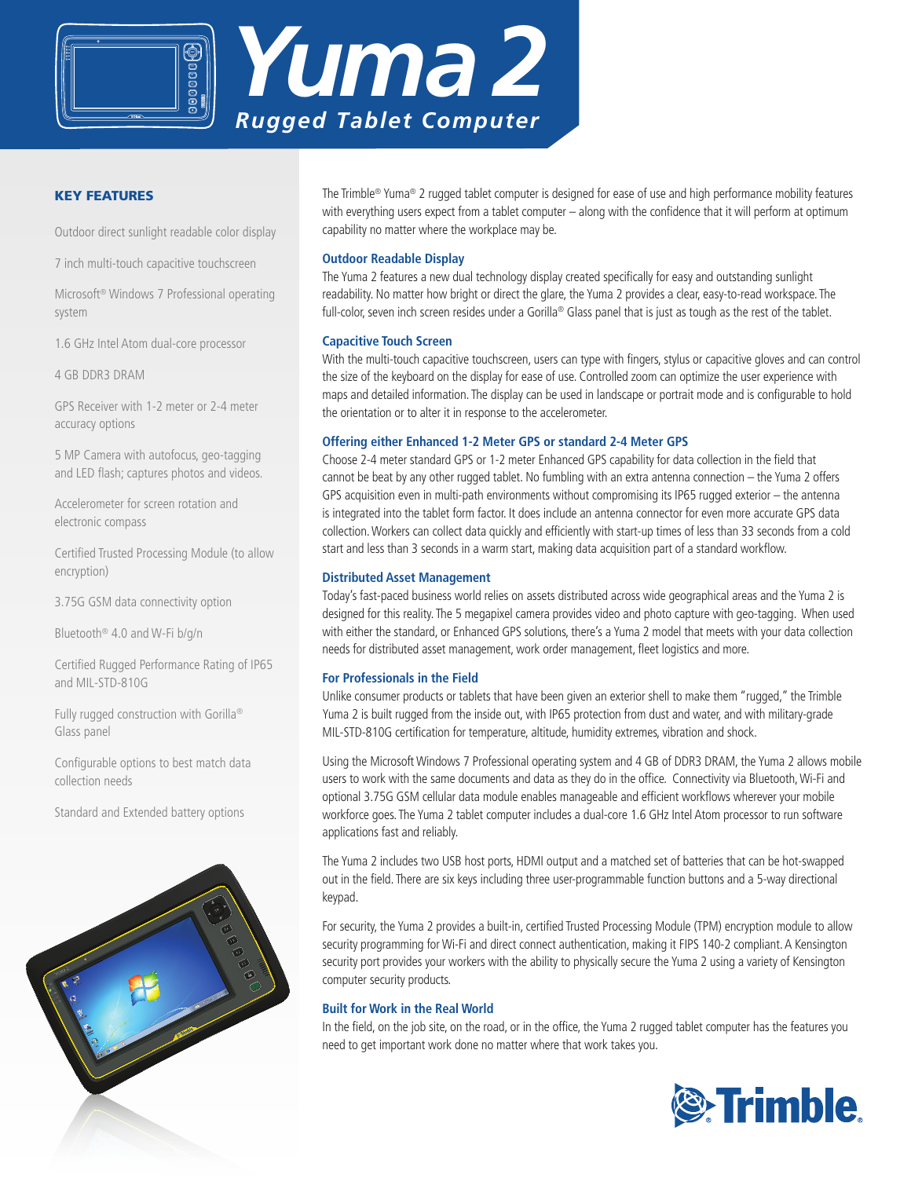



# Key Features

Outdoor direct sunlight readable color display

7 inch multi-touch capacitive touchscreen

Microsoft® Windows 7 Professional operating system

1.6 GHz Intel Atom dual-core processor

4 GB DDR3 DRAM

GPS Receiver with 1-2 meter or 2-4 meter accuracy options

5 MP Camera with autofocus, geo-tagging and LED flash; captures photos and videos.

Accelerometer for screen rotation and electronic compass

Certified Trusted Processing Module (to allow encryption)

3.75G GSM data connectivity option

Bluetooth® 4.0 and W-Fi b/g/n

Certified Rugged Performance Rating of IP65 and MIL-STD-810G

Fully rugged construction with Gorilla® Glass panel

Configurable options to best match data collection needs

Standard and Extended battery options



The Trimble® Yuma® 2 rugged tablet computer is designed for ease of use and high performance mobility features with everything users expect from a tablet computer – along with the confidence that it will perform at optimum capability no matter where the workplace may be.

# **Outdoor Readable Display**

The Yuma 2 features a new dual technology display created specifically for easy and outstanding sunlight readability. No matter how bright or direct the glare, the Yuma 2 provides a clear, easy-to-read workspace. The full-color, seven inch screen resides under a Gorilla® Glass panel that is just as tough as the rest of the tablet.

## **Capacitive Touch Screen**

With the multi-touch capacitive touchscreen, users can type with fingers, stylus or capacitive gloves and can control the size of the keyboard on the display for ease of use. Controlled zoom can optimize the user experience with maps and detailed information. The display can be used in landscape or portrait mode and is configurable to hold the orientation or to alter it in response to the accelerometer.

# **Offering either Enhanced 1-2 Meter GPS or standard 2-4 Meter GPS**

Choose 2-4 meter standard GPS or 1-2 meter Enhanced GPS capability for data collection in the field that cannot be beat by any other rugged tablet. No fumbling with an extra antenna connection – the Yuma 2 offers GPS acquisition even in multi-path environments without compromising its IP65 rugged exterior – the antenna is integrated into the tablet form factor. It does include an antenna connector for even more accurate GPS data collection. Workers can collect data quickly and efficiently with start-up times of less than 33 seconds from a cold start and less than 3 seconds in a warm start, making data acquisition part of a standard workflow.

## **Distributed Asset Management**

Today's fast-paced business world relies on assets distributed across wide geographical areas and the Yuma 2 is designed for this reality. The 5 megapixel camera provides video and photo capture with geo-tagging. When used with either the standard, or Enhanced GPS solutions, there's a Yuma 2 model that meets with your data collection needs for distributed asset management, work order management, fleet logistics and more.

## **For Professionals in the Field**

Unlike consumer products or tablets that have been given an exterior shell to make them "rugged," the Trimble Yuma 2 is built rugged from the inside out, with IP65 protection from dust and water, and with military-grade MIL-STD-810G certification for temperature, altitude, humidity extremes, vibration and shock.

Using the Microsoft Windows 7 Professional operating system and 4 GB of DDR3 DRAM, the Yuma 2 allows mobile users to work with the same documents and data as they do in the office. Connectivity via Bluetooth, Wi-Fi and optional 3.75G GSM cellular data module enables manageable and efficient workflows wherever your mobile workforce goes. The Yuma 2 tablet computer includes a dual-core 1.6 GHz Intel Atom processor to run software applications fast and reliably.

The Yuma 2 includes two USB host ports, HDMI output and a matched set of batteries that can be hot-swapped out in the field. There are six keys including three user-programmable function buttons and a 5-way directional keypad.

For security, the Yuma 2 provides a built-in, certified Trusted Processing Module (TPM) encryption module to allow security programming for Wi-Fi and direct connect authentication, making it FIPS 140-2 compliant. A Kensington security port provides your workers with the ability to physically secure the Yuma 2 using a variety of Kensington computer security products.

## **Built for Work in the Real World**

In the field, on the job site, on the road, or in the office, the Yuma 2 rugged tablet computer has the features you need to get important work done no matter where that work takes you.